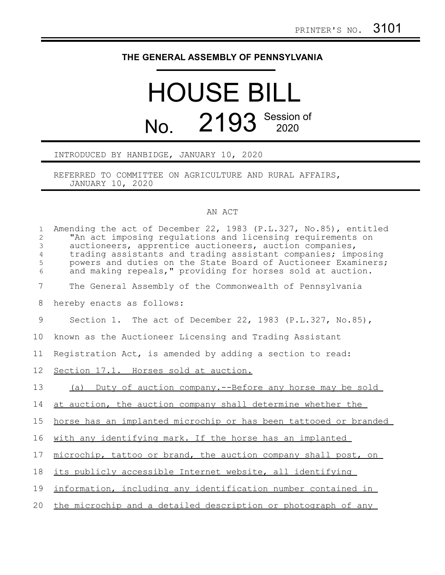## **THE GENERAL ASSEMBLY OF PENNSYLVANIA**

## HOUSE BILL No. 2193 Session of

## INTRODUCED BY HANBIDGE, JANUARY 10, 2020

REFERRED TO COMMITTEE ON AGRICULTURE AND RURAL AFFAIRS, JANUARY 10, 2020

## AN ACT

| $\mathbf{1}$<br>$\overline{c}$<br>$\mathfrak{Z}$<br>$\overline{4}$<br>5<br>6 | Amending the act of December 22, 1983 (P.L.327, No.85), entitled<br>"An act imposing regulations and licensing requirements on<br>auctioneers, apprentice auctioneers, auction companies,<br>trading assistants and trading assistant companies; imposing<br>powers and duties on the State Board of Auctioneer Examiners;<br>and making repeals," providing for horses sold at auction. |
|------------------------------------------------------------------------------|------------------------------------------------------------------------------------------------------------------------------------------------------------------------------------------------------------------------------------------------------------------------------------------------------------------------------------------------------------------------------------------|
| $7\phantom{.0}$                                                              | The General Assembly of the Commonwealth of Pennsylvania                                                                                                                                                                                                                                                                                                                                 |
| 8                                                                            | hereby enacts as follows:                                                                                                                                                                                                                                                                                                                                                                |
| 9                                                                            | Section 1. The act of December 22, 1983 (P.L.327, No.85),                                                                                                                                                                                                                                                                                                                                |
| 10                                                                           | known as the Auctioneer Licensing and Trading Assistant                                                                                                                                                                                                                                                                                                                                  |
| 11                                                                           | Registration Act, is amended by adding a section to read:                                                                                                                                                                                                                                                                                                                                |
| 12                                                                           | Section 17.1. Horses sold at auction.                                                                                                                                                                                                                                                                                                                                                    |
| 13                                                                           | (a) Duty of auction company.--Before any horse may be sold                                                                                                                                                                                                                                                                                                                               |
| 14                                                                           | at auction, the auction company shall determine whether the                                                                                                                                                                                                                                                                                                                              |
| 15                                                                           | horse has an implanted microchip or has been tattooed or branded                                                                                                                                                                                                                                                                                                                         |
| 16                                                                           | with any identifying mark. If the horse has an implanted                                                                                                                                                                                                                                                                                                                                 |
| 17                                                                           | microchip, tattoo or brand, the auction company shall post, on                                                                                                                                                                                                                                                                                                                           |
| 18                                                                           | its publicly accessible Internet website, all identifying                                                                                                                                                                                                                                                                                                                                |
| 19                                                                           | information, including any identification number contained in                                                                                                                                                                                                                                                                                                                            |
| 20                                                                           | the microchip and a detailed description or photograph of any                                                                                                                                                                                                                                                                                                                            |